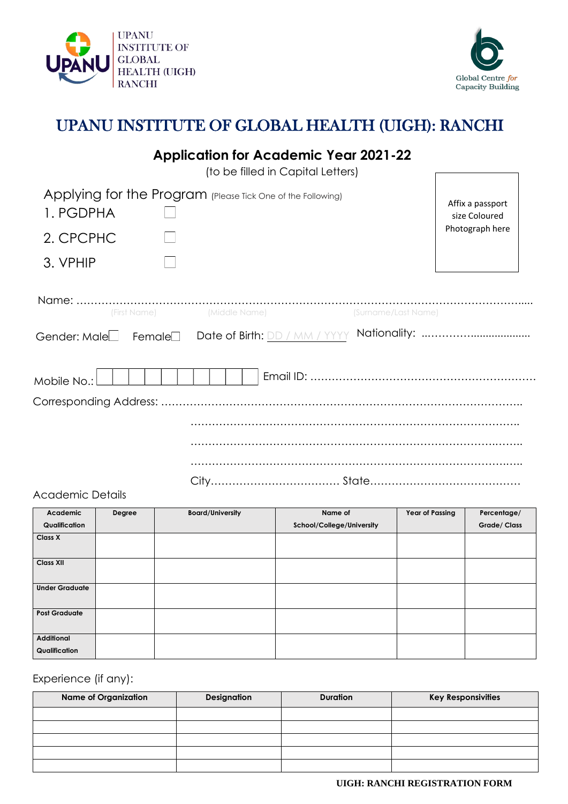#### **UIGH: RANCHI REGISTRATION FORM**





# UPANU INSTITUTE OF GLOBAL HEALTH (UIGH): RANCHI

|                                       | <b>Application for Academic Year 2021-22</b><br>(to be filled in Capital Letters) |                     |                                                      |
|---------------------------------------|-----------------------------------------------------------------------------------|---------------------|------------------------------------------------------|
| 1. PGDPHA<br>2. CPCPHC                | Applying for the Program (Please Tick One of the Following)                       |                     | Affix a passport<br>size Coloured<br>Photograph here |
| 3. VPHIP                              |                                                                                   |                     |                                                      |
| (First Name)<br>Gender: Male_ Female_ | (Middle Name)<br>Date of Birth: DD / MM / YYYY                                    | (Surname/Last Name) |                                                      |
| Mobile No.:                           |                                                                                   |                     |                                                      |
|                                       |                                                                                   |                     |                                                      |
|                                       |                                                                                   |                     |                                                      |

### Academic Details

| Academic                           | <b>Degree</b> | <b>Board/University</b> | Name of                   | <b>Year of Passing</b> | Percentage/        |
|------------------------------------|---------------|-------------------------|---------------------------|------------------------|--------------------|
| Qualification                      |               |                         | School/College/University |                        | <b>Grade/Class</b> |
| <b>Class X</b>                     |               |                         |                           |                        |                    |
| <b>Class XII</b>                   |               |                         |                           |                        |                    |
| <b>Under Graduate</b>              |               |                         |                           |                        |                    |
| <b>Post Graduate</b>               |               |                         |                           |                        |                    |
| <b>Additional</b><br>Qualification |               |                         |                           |                        |                    |

Experience (if any):

| <b>Name of Organization</b> | <b>Designation</b> | <b>Duration</b> | <b>Key Responsivities</b> |
|-----------------------------|--------------------|-----------------|---------------------------|
|                             |                    |                 |                           |
|                             |                    |                 |                           |
|                             |                    |                 |                           |
|                             |                    |                 |                           |
|                             |                    |                 |                           |